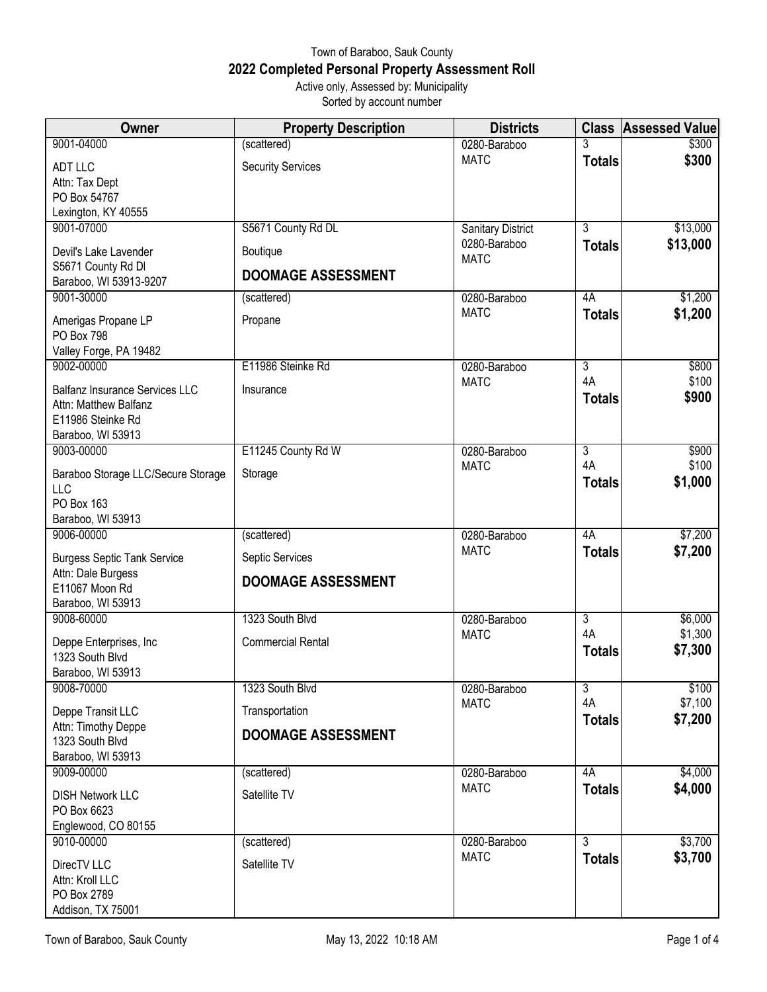## Town of Baraboo, Sauk County **2022 Completed Personal Property Assessment Roll** Active only, Assessed by: Municipality

Sorted by account number

| Owner                                  | <b>Property Description</b> | <b>Districts</b>            |                      | <b>Class Assessed Value</b> |
|----------------------------------------|-----------------------------|-----------------------------|----------------------|-----------------------------|
| 9001-04000                             | (scattered)                 | 0280-Baraboo                | 3                    | \$300                       |
| <b>ADT LLC</b>                         | <b>Security Services</b>    | <b>MATC</b>                 | <b>Totals</b>        | \$300                       |
| Attn: Tax Dept                         |                             |                             |                      |                             |
| PO Box 54767                           |                             |                             |                      |                             |
| Lexington, KY 40555                    |                             |                             |                      |                             |
| 9001-07000                             | S5671 County Rd DL          | <b>Sanitary District</b>    | $\overline{3}$       | \$13,000                    |
| Devil's Lake Lavender                  | Boutique                    | 0280-Baraboo<br><b>MATC</b> | <b>Totals</b>        | \$13,000                    |
| S5671 County Rd DI                     | <b>DOOMAGE ASSESSMENT</b>   |                             |                      |                             |
| Baraboo, WI 53913-9207                 |                             |                             |                      |                             |
| 9001-30000                             | (scattered)                 | 0280-Baraboo                | 4A                   | \$1,200                     |
| Amerigas Propane LP                    | Propane                     | <b>MATC</b>                 | <b>Totals</b>        | \$1,200                     |
| PO Box 798                             |                             |                             |                      |                             |
| Valley Forge, PA 19482                 |                             |                             |                      |                             |
| 9002-00000                             | E11986 Steinke Rd           | 0280-Baraboo                | $\overline{3}$       | \$800                       |
| Balfanz Insurance Services LLC         | Insurance                   | <b>MATC</b>                 | 4A                   | \$100                       |
| Attn: Matthew Balfanz                  |                             |                             | <b>Totals</b>        | \$900                       |
| E11986 Steinke Rd                      |                             |                             |                      |                             |
| Baraboo, WI 53913                      |                             |                             |                      |                             |
| 9003-00000                             | E11245 County Rd W          | 0280-Baraboo                | $\overline{3}$       | \$900                       |
| Baraboo Storage LLC/Secure Storage     | Storage                     | <b>MATC</b>                 | 4A                   | \$100                       |
| <b>LLC</b>                             |                             |                             | <b>Totals</b>        | \$1,000                     |
| PO Box 163                             |                             |                             |                      |                             |
| Baraboo, WI 53913                      |                             |                             |                      |                             |
| 9006-00000                             | (scattered)                 | 0280-Baraboo                | 4A                   | \$7,200                     |
| <b>Burgess Septic Tank Service</b>     | Septic Services             | <b>MATC</b>                 | <b>Totals</b>        | \$7,200                     |
| Attn: Dale Burgess                     | <b>DOOMAGE ASSESSMENT</b>   |                             |                      |                             |
| E11067 Moon Rd                         |                             |                             |                      |                             |
| Baraboo, WI 53913                      |                             |                             |                      |                             |
| 9008-60000                             | 1323 South Blvd             | 0280-Baraboo<br><b>MATC</b> | $\overline{3}$<br>4A | \$6,000<br>\$1,300          |
| Deppe Enterprises, Inc                 | <b>Commercial Rental</b>    |                             | <b>Totals</b>        | \$7,300                     |
| 1323 South Blvd                        |                             |                             |                      |                             |
| Baraboo, WI 53913                      |                             |                             |                      |                             |
| 9008-70000                             | 1323 South Blvd             | 0280-Baraboo<br><b>MATC</b> | $\overline{3}$<br>4A | \$100<br>\$7,100            |
| Deppe Transit LLC                      | Transportation              |                             | <b>Totals</b>        | \$7,200                     |
| Attn: Timothy Deppe<br>1323 South Blvd | <b>DOOMAGE ASSESSMENT</b>   |                             |                      |                             |
| Baraboo, WI 53913                      |                             |                             |                      |                             |
| 9009-00000                             | (scattered)                 | 0280-Baraboo                | 4A                   | \$4,000                     |
|                                        |                             | <b>MATC</b>                 | <b>Totals</b>        | \$4,000                     |
| <b>DISH Network LLC</b>                | Satellite TV                |                             |                      |                             |
| PO Box 6623<br>Englewood, CO 80155     |                             |                             |                      |                             |
| 9010-00000                             | (scattered)                 | 0280-Baraboo                | $\overline{3}$       | \$3,700                     |
|                                        |                             | <b>MATC</b>                 | <b>Totals</b>        | \$3,700                     |
| DirecTV LLC                            | Satellite TV                |                             |                      |                             |
| Attn: Kroll LLC                        |                             |                             |                      |                             |
| PO Box 2789                            |                             |                             |                      |                             |
| Addison, TX 75001                      |                             |                             |                      |                             |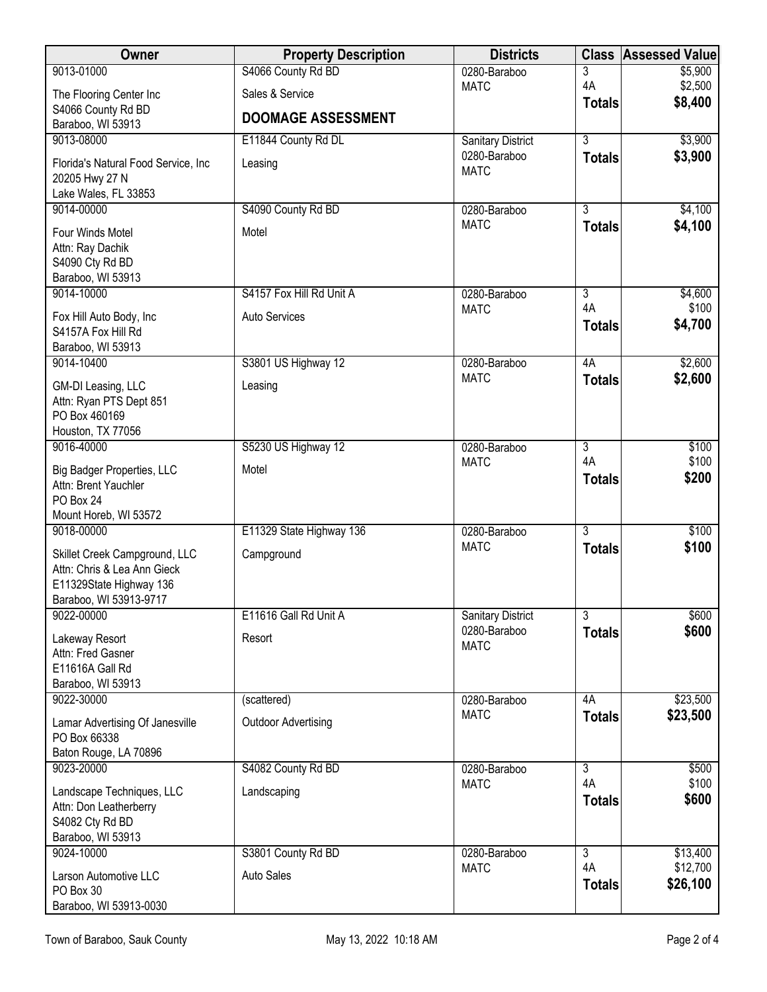| Owner                                                                                                             | <b>Property Description</b> | <b>Districts</b>            |                      | <b>Class Assessed Value</b> |
|-------------------------------------------------------------------------------------------------------------------|-----------------------------|-----------------------------|----------------------|-----------------------------|
| 9013-01000                                                                                                        | S4066 County Rd BD          | 0280-Baraboo                | 3                    | \$5,900                     |
| The Flooring Center Inc                                                                                           | Sales & Service             | <b>MATC</b>                 | 4A<br><b>Totals</b>  | \$2,500<br>\$8,400          |
| S4066 County Rd BD<br>Baraboo, WI 53913                                                                           | <b>DOOMAGE ASSESSMENT</b>   |                             |                      |                             |
| 9013-08000                                                                                                        | E11844 County Rd DL         | <b>Sanitary District</b>    | $\overline{3}$       | \$3,900                     |
| Florida's Natural Food Service, Inc.<br>20205 Hwy 27 N<br>Lake Wales, FL 33853                                    | Leasing                     | 0280-Baraboo<br><b>MATC</b> | <b>Totals</b>        | \$3,900                     |
| 9014-00000                                                                                                        | S4090 County Rd BD          | 0280-Baraboo                | $\overline{3}$       | \$4,100                     |
| Four Winds Motel<br>Attn: Ray Dachik<br>S4090 Cty Rd BD<br>Baraboo, WI 53913                                      | Motel                       | <b>MATC</b>                 | <b>Totals</b>        | \$4,100                     |
| 9014-10000                                                                                                        | S4157 Fox Hill Rd Unit A    | 0280-Baraboo                | $\overline{3}$       | \$4,600                     |
| Fox Hill Auto Body, Inc<br>S4157A Fox Hill Rd<br>Baraboo, WI 53913                                                | Auto Services               | <b>MATC</b>                 | 4A<br><b>Totals</b>  | \$100<br>\$4,700            |
| 9014-10400                                                                                                        | S3801 US Highway 12         | 0280-Baraboo                | 4A                   | \$2,600                     |
| GM-DI Leasing, LLC<br>Attn: Ryan PTS Dept 851<br>PO Box 460169<br>Houston, TX 77056                               | Leasing                     | <b>MATC</b>                 | <b>Totals</b>        | \$2,600                     |
| 9016-40000                                                                                                        | S5230 US Highway 12         | 0280-Baraboo                | $\overline{3}$       | \$100                       |
| <b>Big Badger Properties, LLC</b><br>Attn: Brent Yauchler<br>PO Box 24<br>Mount Horeb, WI 53572                   | Motel                       | <b>MATC</b>                 | 4A<br><b>Totals</b>  | \$100<br>\$200              |
| 9018-00000                                                                                                        | E11329 State Highway 136    | 0280-Baraboo                | $\overline{3}$       | \$100                       |
| Skillet Creek Campground, LLC<br>Attn: Chris & Lea Ann Gieck<br>E11329State Highway 136<br>Baraboo, WI 53913-9717 | Campground                  | <b>MATC</b>                 | <b>Totals</b>        | \$100                       |
| 9022-00000                                                                                                        | E11616 Gall Rd Unit A       | <b>Sanitary District</b>    | $\overline{3}$       | \$600                       |
| Lakeway Resort<br>Attn: Fred Gasner<br>E11616A Gall Rd<br>Baraboo, WI 53913                                       | Resort                      | 0280-Baraboo<br><b>MATC</b> | <b>Totals</b>        | \$600                       |
| 9022-30000                                                                                                        | (scattered)                 | 0280-Baraboo                | 4A                   | \$23,500                    |
| Lamar Advertising Of Janesville<br>PO Box 66338<br>Baton Rouge, LA 70896                                          | <b>Outdoor Advertising</b>  | <b>MATC</b>                 | <b>Totals</b>        | \$23,500                    |
| 9023-20000                                                                                                        | S4082 County Rd BD          | 0280-Baraboo                | $\overline{3}$       | \$500                       |
| Landscape Techniques, LLC<br>Attn: Don Leatherberry<br>S4082 Cty Rd BD<br>Baraboo, WI 53913                       | Landscaping                 | <b>MATC</b>                 | 4A<br><b>Totals</b>  | \$100<br>\$600              |
| 9024-10000                                                                                                        | S3801 County Rd BD          | 0280-Baraboo<br><b>MATC</b> | $\overline{3}$<br>4A | \$13,400<br>\$12,700        |
| Larson Automotive LLC<br>PO Box 30<br>Baraboo, WI 53913-0030                                                      | <b>Auto Sales</b>           |                             | <b>Totals</b>        | \$26,100                    |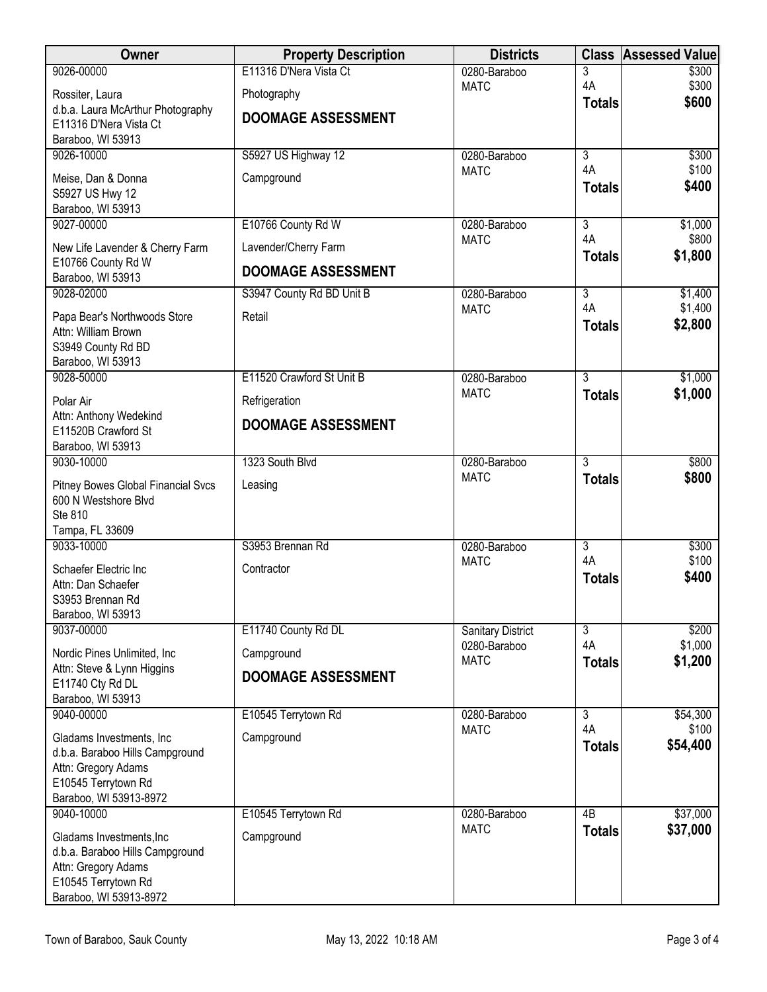| Owner                                                                                                                                | <b>Property Description</b> | <b>Districts</b>            | <b>Class</b>        | <b>Assessed Value</b> |
|--------------------------------------------------------------------------------------------------------------------------------------|-----------------------------|-----------------------------|---------------------|-----------------------|
| 9026-00000                                                                                                                           | E11316 D'Nera Vista Ct      | 0280-Baraboo                | 3                   | \$300                 |
| Rossiter, Laura                                                                                                                      | Photography                 | <b>MATC</b>                 | 4A                  | \$300<br>\$600        |
| d.b.a. Laura McArthur Photography<br>E11316 D'Nera Vista Ct<br>Baraboo, WI 53913                                                     | <b>DOOMAGE ASSESSMENT</b>   |                             | <b>Totals</b>       |                       |
| 9026-10000                                                                                                                           | S5927 US Highway 12         | 0280-Baraboo                | $\overline{3}$      | \$300                 |
| Meise, Dan & Donna<br>S5927 US Hwy 12<br>Baraboo, WI 53913                                                                           | Campground                  | <b>MATC</b>                 | 4A<br><b>Totals</b> | \$100<br>\$400        |
| 9027-00000                                                                                                                           | E10766 County Rd W          | 0280-Baraboo                | $\overline{3}$      | \$1,000               |
| New Life Lavender & Cherry Farm                                                                                                      | Lavender/Cherry Farm        | <b>MATC</b>                 | 4A<br><b>Totals</b> | \$800<br>\$1,800      |
| E10766 County Rd W<br>Baraboo, WI 53913                                                                                              | <b>DOOMAGE ASSESSMENT</b>   |                             |                     |                       |
| 9028-02000                                                                                                                           | S3947 County Rd BD Unit B   | 0280-Baraboo                | $\overline{3}$      | \$1,400               |
| Papa Bear's Northwoods Store<br>Attn: William Brown<br>S3949 County Rd BD<br>Baraboo, WI 53913                                       | Retail                      | <b>MATC</b>                 | 4A<br><b>Totals</b> | \$1,400<br>\$2,800    |
| 9028-50000                                                                                                                           | E11520 Crawford St Unit B   | 0280-Baraboo                | $\overline{3}$      | \$1,000               |
| Polar Air                                                                                                                            | Refrigeration               | <b>MATC</b>                 | <b>Totals</b>       | \$1,000               |
| Attn: Anthony Wedekind<br>E11520B Crawford St<br>Baraboo, WI 53913                                                                   | <b>DOOMAGE ASSESSMENT</b>   |                             |                     |                       |
| 9030-10000                                                                                                                           | 1323 South Blvd             | 0280-Baraboo                | $\overline{3}$      | \$800                 |
| Pitney Bowes Global Financial Svcs<br>600 N Westshore Blvd<br>Ste 810<br>Tampa, FL 33609                                             | Leasing                     | <b>MATC</b>                 | <b>Totals</b>       | \$800                 |
| 9033-10000                                                                                                                           | S3953 Brennan Rd            | 0280-Baraboo                | $\overline{3}$      | \$300                 |
| Schaefer Electric Inc<br>Attn: Dan Schaefer<br>S3953 Brennan Rd<br>Baraboo, WI 53913                                                 | Contractor                  | <b>MATC</b>                 | 4A<br><b>Totals</b> | \$100<br>\$400        |
| 9037-00000                                                                                                                           | E11740 County Rd DL         | <b>Sanitary District</b>    | 3                   | \$200                 |
| Nordic Pines Unlimited, Inc.                                                                                                         | Campground                  | 0280-Baraboo<br><b>MATC</b> | 4A<br><b>Totals</b> | \$1,000<br>\$1,200    |
| Attn: Steve & Lynn Higgins                                                                                                           | <b>DOOMAGE ASSESSMENT</b>   |                             |                     |                       |
| E11740 Cty Rd DL<br>Baraboo, WI 53913                                                                                                |                             |                             |                     |                       |
| 9040-00000                                                                                                                           | E10545 Terrytown Rd         | 0280-Baraboo                | $\overline{3}$      | \$54,300              |
| Gladams Investments, Inc.<br>d.b.a. Baraboo Hills Campground<br>Attn: Gregory Adams<br>E10545 Terrytown Rd<br>Baraboo, WI 53913-8972 | Campground                  | <b>MATC</b>                 | 4A<br><b>Totals</b> | \$100<br>\$54,400     |
| 9040-10000                                                                                                                           | E10545 Terrytown Rd         | 0280-Baraboo                | 4B                  | \$37,000              |
| Gladams Investments, Inc.<br>d.b.a. Baraboo Hills Campground<br>Attn: Gregory Adams<br>E10545 Terrytown Rd<br>Baraboo, WI 53913-8972 | Campground                  | <b>MATC</b>                 | <b>Totals</b>       | \$37,000              |